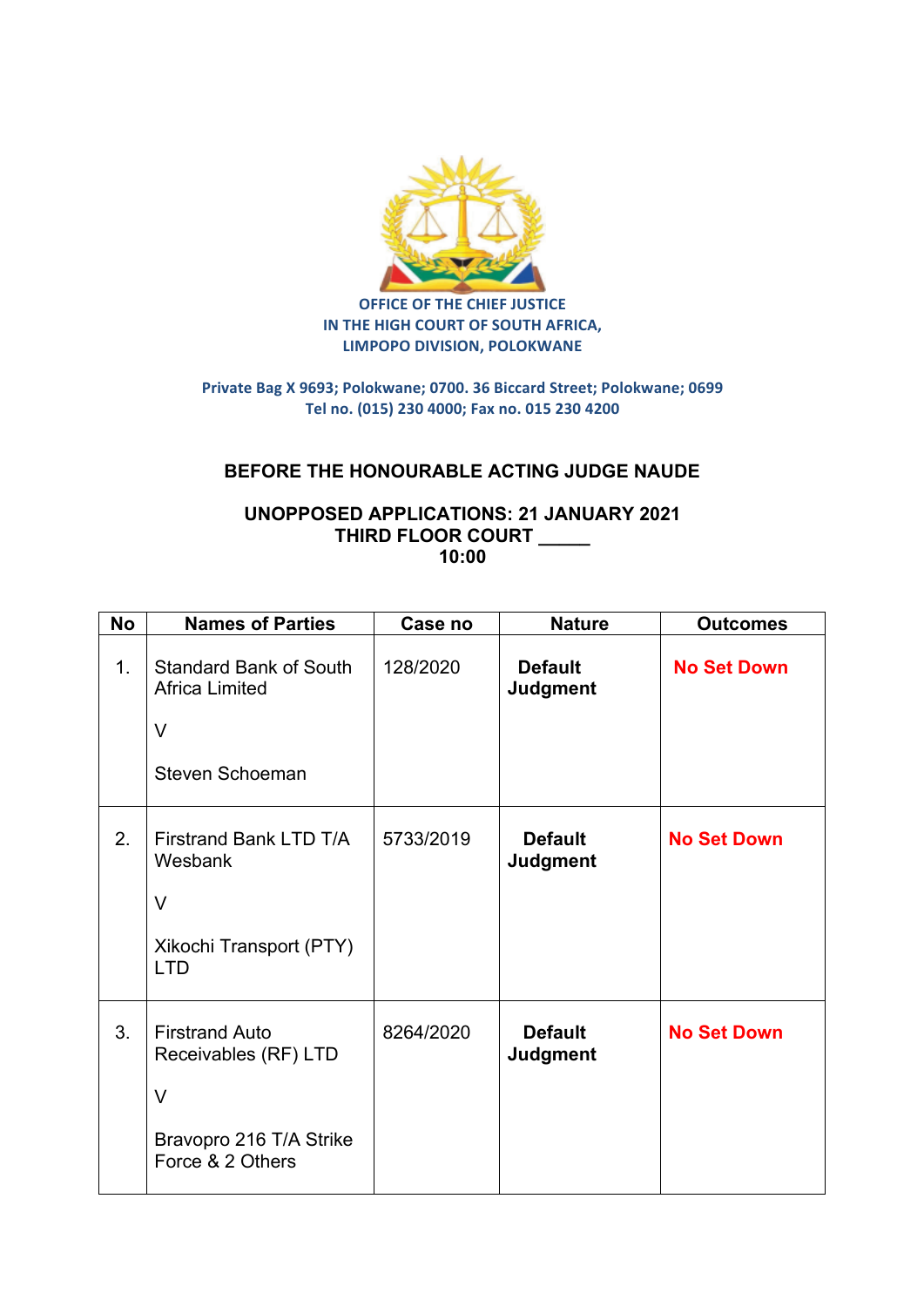

**OFFICE OF THE CHIEF JUSTICE IN THE HIGH COURT OF SOUTH AFRICA, LIMPOPO DIVISION, POLOKWANE** 

## **Private Bag X 9693; Polokwane; 0700. 36 Biccard Street; Polokwane; 0699 Tel no. (015) 230 4000; Fax no. 015 230 4200**

## **BEFORE THE HONOURABLE ACTING JUDGE NAUDE**

## **UNOPPOSED APPLICATIONS: 21 JANUARY 2021 THIRD FLOOR COURT \_\_\_\_\_ 10:00**

| <b>No</b> | <b>Names of Parties</b>                                                                                | Case no   | <b>Nature</b>                     | <b>Outcomes</b>    |
|-----------|--------------------------------------------------------------------------------------------------------|-----------|-----------------------------------|--------------------|
| 1.        | <b>Standard Bank of South</b><br><b>Africa Limited</b><br>$\vee$<br>Steven Schoeman                    | 128/2020  | <b>Default</b><br><b>Judgment</b> | <b>No Set Down</b> |
| 2.        | Firstrand Bank LTD T/A<br>Wesbank<br>$\vee$<br>Xikochi Transport (PTY)<br><b>LTD</b>                   | 5733/2019 | <b>Default</b><br><b>Judgment</b> | <b>No Set Down</b> |
| 3.        | <b>Firstrand Auto</b><br>Receivables (RF) LTD<br>$\vee$<br>Bravopro 216 T/A Strike<br>Force & 2 Others | 8264/2020 | <b>Default</b><br><b>Judgment</b> | <b>No Set Down</b> |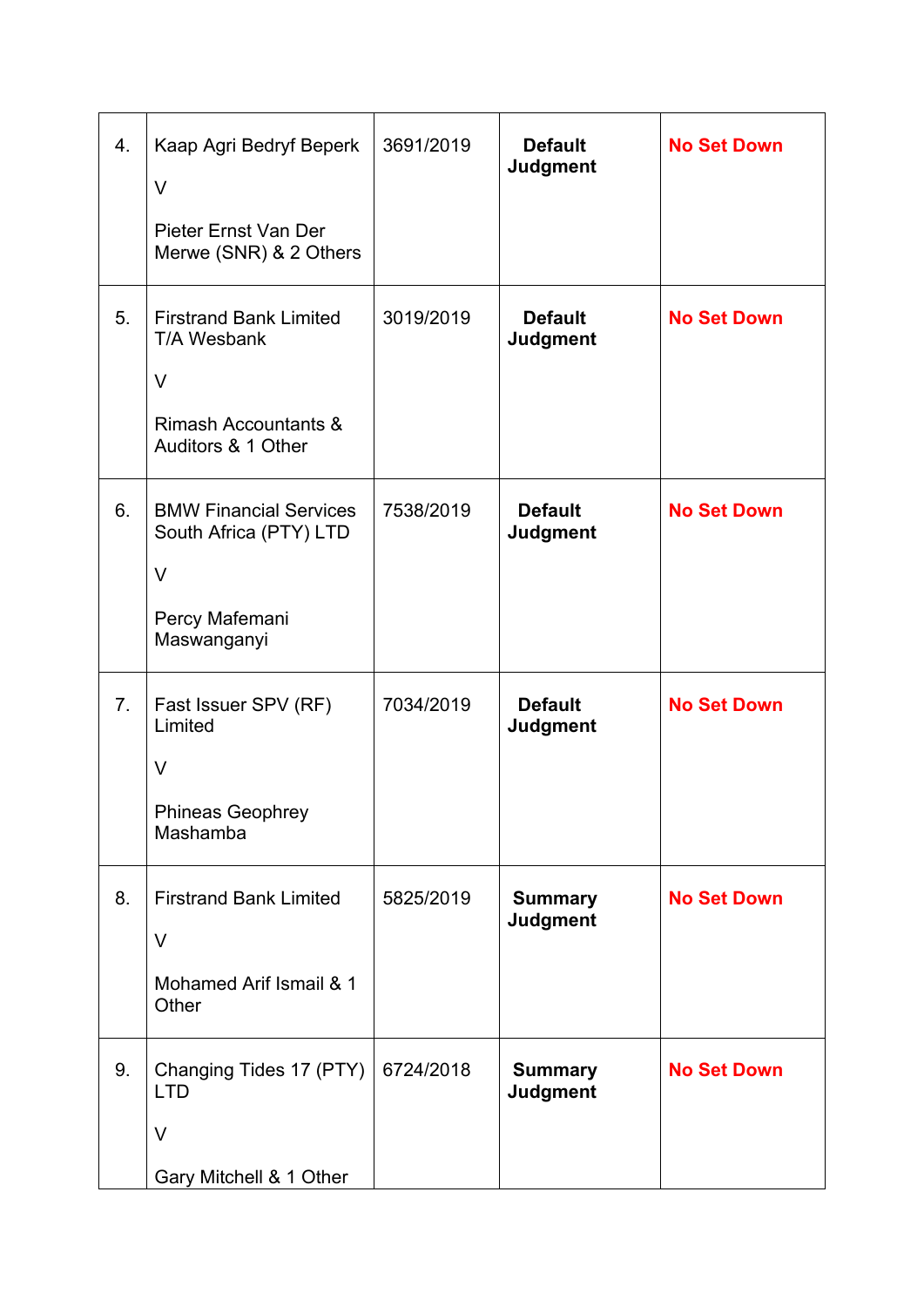| 4. | Kaap Agri Bedryf Beperk<br>V<br>Pieter Ernst Van Der<br>Merwe (SNR) & 2 Others                             | 3691/2019 | <b>Default</b><br>Judgment        | <b>No Set Down</b> |
|----|------------------------------------------------------------------------------------------------------------|-----------|-----------------------------------|--------------------|
| 5. | <b>Firstrand Bank Limited</b><br>T/A Wesbank<br>V<br><b>Rimash Accountants &amp;</b><br>Auditors & 1 Other | 3019/2019 | <b>Default</b><br><b>Judgment</b> | <b>No Set Down</b> |
| 6. | <b>BMW Financial Services</b><br>South Africa (PTY) LTD<br>V<br>Percy Mafemani<br>Maswanganyi              | 7538/2019 | <b>Default</b><br><b>Judgment</b> | <b>No Set Down</b> |
| 7. | Fast Issuer SPV (RF)<br>Limited<br>V<br><b>Phineas Geophrey</b><br>Mashamba                                | 7034/2019 | <b>Default</b><br><b>Judgment</b> | <b>No Set Down</b> |
| 8. | <b>Firstrand Bank Limited</b><br>V<br>Mohamed Arif Ismail & 1<br>Other                                     | 5825/2019 | <b>Summary</b><br><b>Judgment</b> | <b>No Set Down</b> |
| 9. | Changing Tides 17 (PTY)<br><b>LTD</b><br>V<br>Gary Mitchell & 1 Other                                      | 6724/2018 | <b>Summary</b><br><b>Judgment</b> | <b>No Set Down</b> |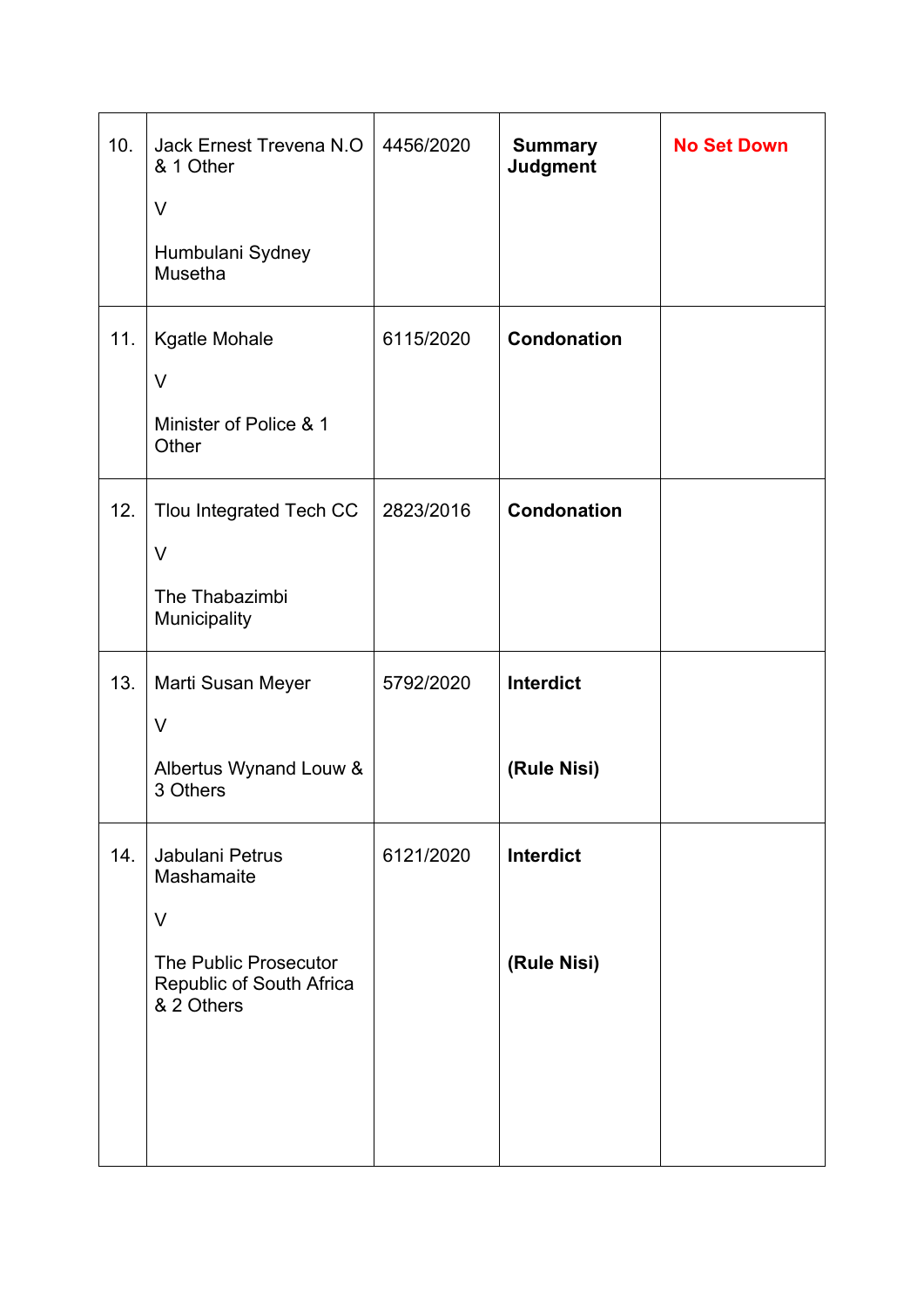| 10. | Jack Ernest Trevena N.O<br>& 1 Other<br>$\vee$<br>Humbulani Sydney<br>Musetha                              | 4456/2020 | <b>Summary</b><br><b>Judgment</b> | <b>No Set Down</b> |
|-----|------------------------------------------------------------------------------------------------------------|-----------|-----------------------------------|--------------------|
| 11. | Kgatle Mohale<br>$\vee$<br>Minister of Police & 1<br>Other                                                 | 6115/2020 | <b>Condonation</b>                |                    |
| 12. | Tlou Integrated Tech CC<br>$\vee$<br>The Thabazimbi<br>Municipality                                        | 2823/2016 | <b>Condonation</b>                |                    |
| 13. | Marti Susan Meyer<br>$\vee$<br>Albertus Wynand Louw &<br>3 Others                                          | 5792/2020 | Interdict<br>(Rule Nisi)          |                    |
| 14. | Jabulani Petrus<br>Mashamaite<br>$\vee$<br>The Public Prosecutor<br>Republic of South Africa<br>& 2 Others | 6121/2020 | Interdict<br>(Rule Nisi)          |                    |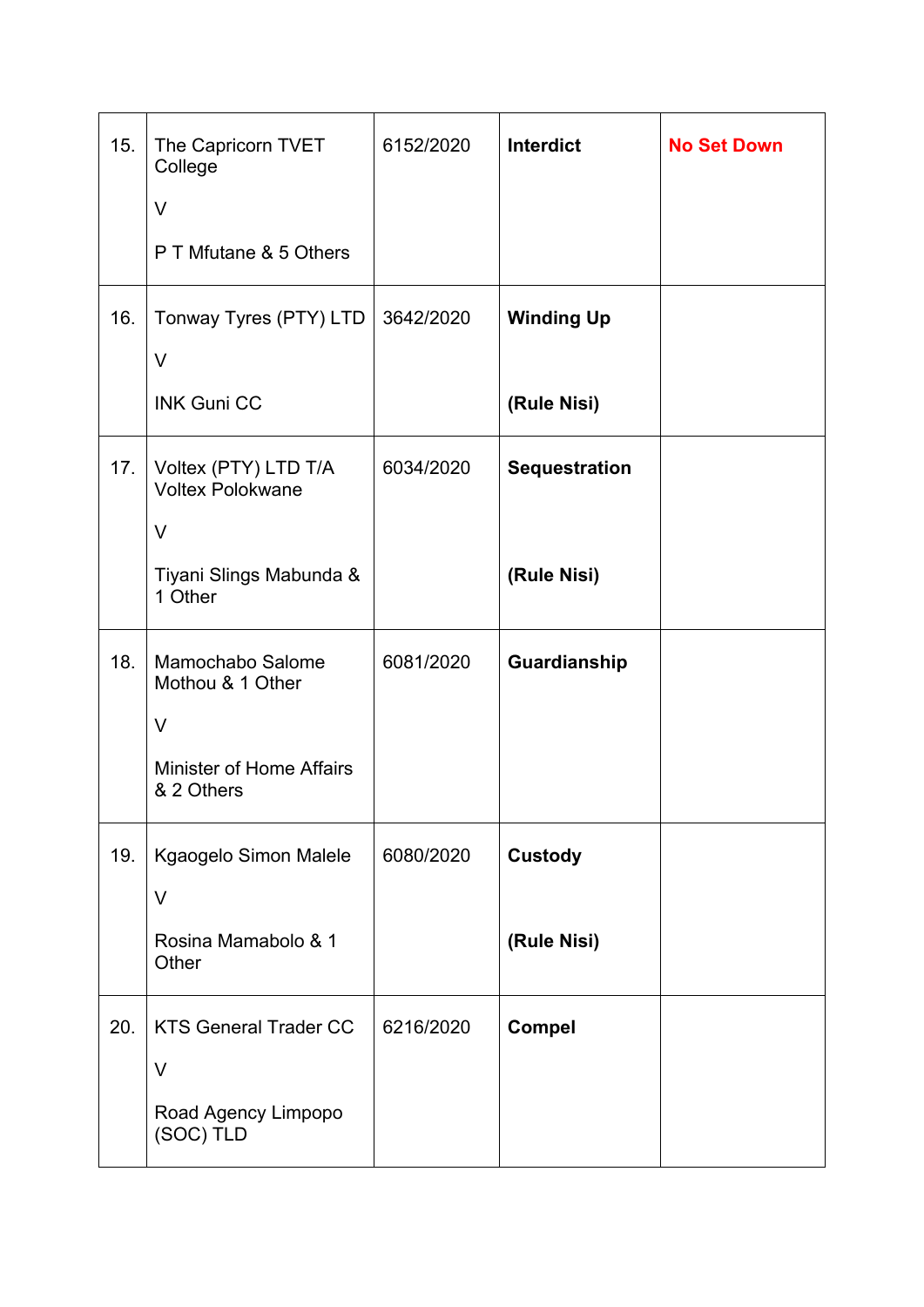| 15. | The Capricorn TVET<br>College                   | 6152/2020 | <b>Interdict</b>     | <b>No Set Down</b> |
|-----|-------------------------------------------------|-----------|----------------------|--------------------|
|     | $\vee$                                          |           |                      |                    |
|     | P T Mfutane & 5 Others                          |           |                      |                    |
| 16. | Tonway Tyres (PTY) LTD                          | 3642/2020 | <b>Winding Up</b>    |                    |
|     | V                                               |           |                      |                    |
|     | <b>INK Guni CC</b>                              |           | (Rule Nisi)          |                    |
| 17. | Voltex (PTY) LTD T/A<br><b>Voltex Polokwane</b> | 6034/2020 | <b>Sequestration</b> |                    |
|     | $\vee$                                          |           |                      |                    |
|     | Tiyani Slings Mabunda &<br>1 Other              |           | (Rule Nisi)          |                    |
| 18. | Mamochabo Salome<br>Mothou & 1 Other<br>$\vee$  | 6081/2020 | Guardianship         |                    |
|     | <b>Minister of Home Affairs</b><br>& 2 Others   |           |                      |                    |
| 19. | Kgaogelo Simon Malele<br>V                      | 6080/2020 | <b>Custody</b>       |                    |
|     | Rosina Mamabolo & 1<br>Other                    |           | (Rule Nisi)          |                    |
| 20. | <b>KTS General Trader CC</b><br>$\vee$          | 6216/2020 | <b>Compel</b>        |                    |
|     | Road Agency Limpopo<br>(SOC) TLD                |           |                      |                    |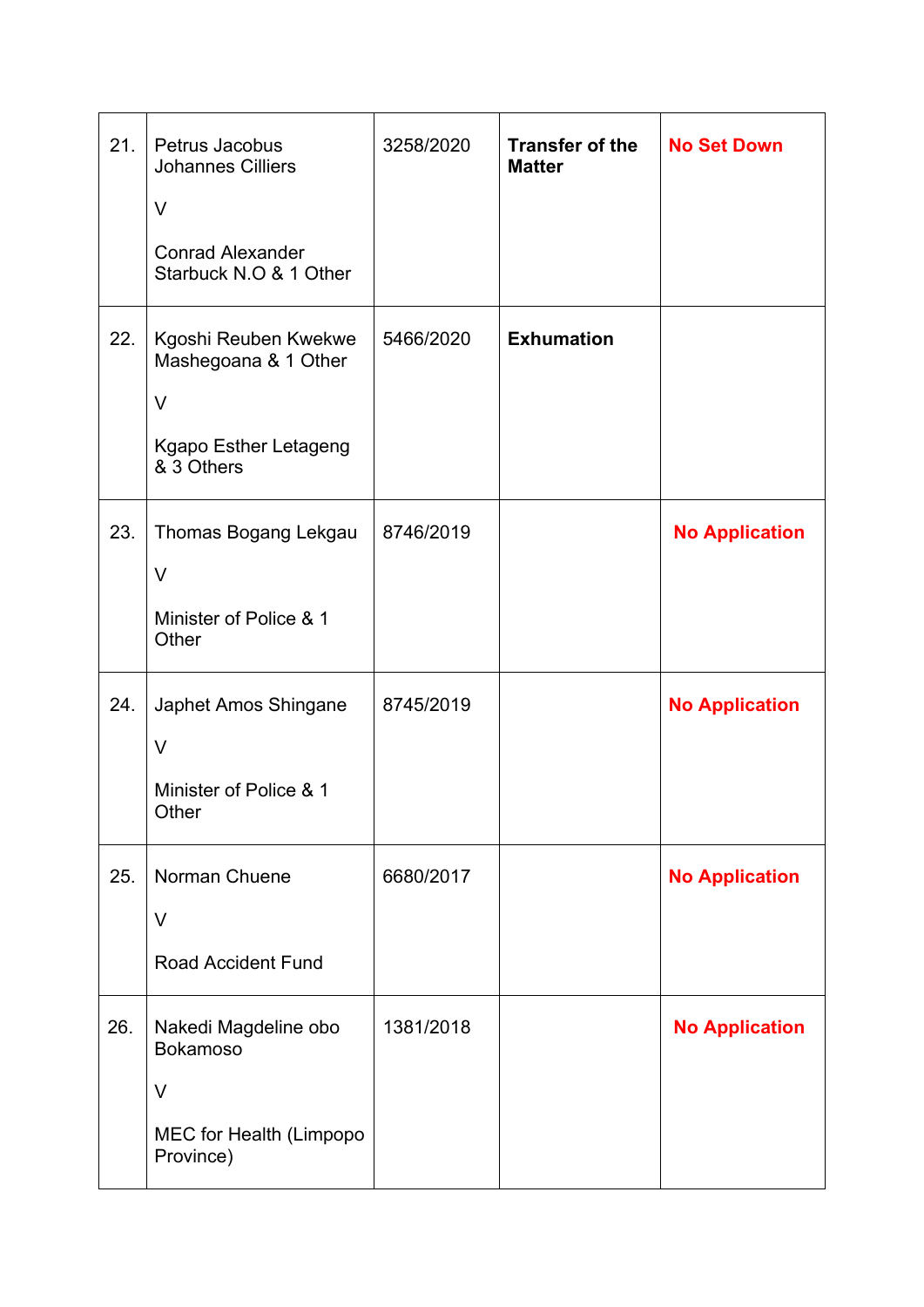| 21. | Petrus Jacobus<br><b>Johannes Cilliers</b><br>V<br><b>Conrad Alexander</b><br>Starbuck N.O & 1 Other | 3258/2020 | <b>Transfer of the</b><br><b>Matter</b> | <b>No Set Down</b>    |
|-----|------------------------------------------------------------------------------------------------------|-----------|-----------------------------------------|-----------------------|
| 22. | Kgoshi Reuben Kwekwe<br>Mashegoana & 1 Other<br>$\vee$<br>Kgapo Esther Letageng<br>& 3 Others        | 5466/2020 | <b>Exhumation</b>                       |                       |
| 23. | Thomas Bogang Lekgau<br>V<br>Minister of Police & 1<br>Other                                         | 8746/2019 |                                         | <b>No Application</b> |
| 24. | Japhet Amos Shingane<br>$\vee$<br>Minister of Police & 1<br>Other                                    | 8745/2019 |                                         | <b>No Application</b> |
| 25. | Norman Chuene<br>V<br><b>Road Accident Fund</b>                                                      | 6680/2017 |                                         | <b>No Application</b> |
| 26. | Nakedi Magdeline obo<br><b>Bokamoso</b><br>$\vee$<br>MEC for Health (Limpopo<br>Province)            | 1381/2018 |                                         | <b>No Application</b> |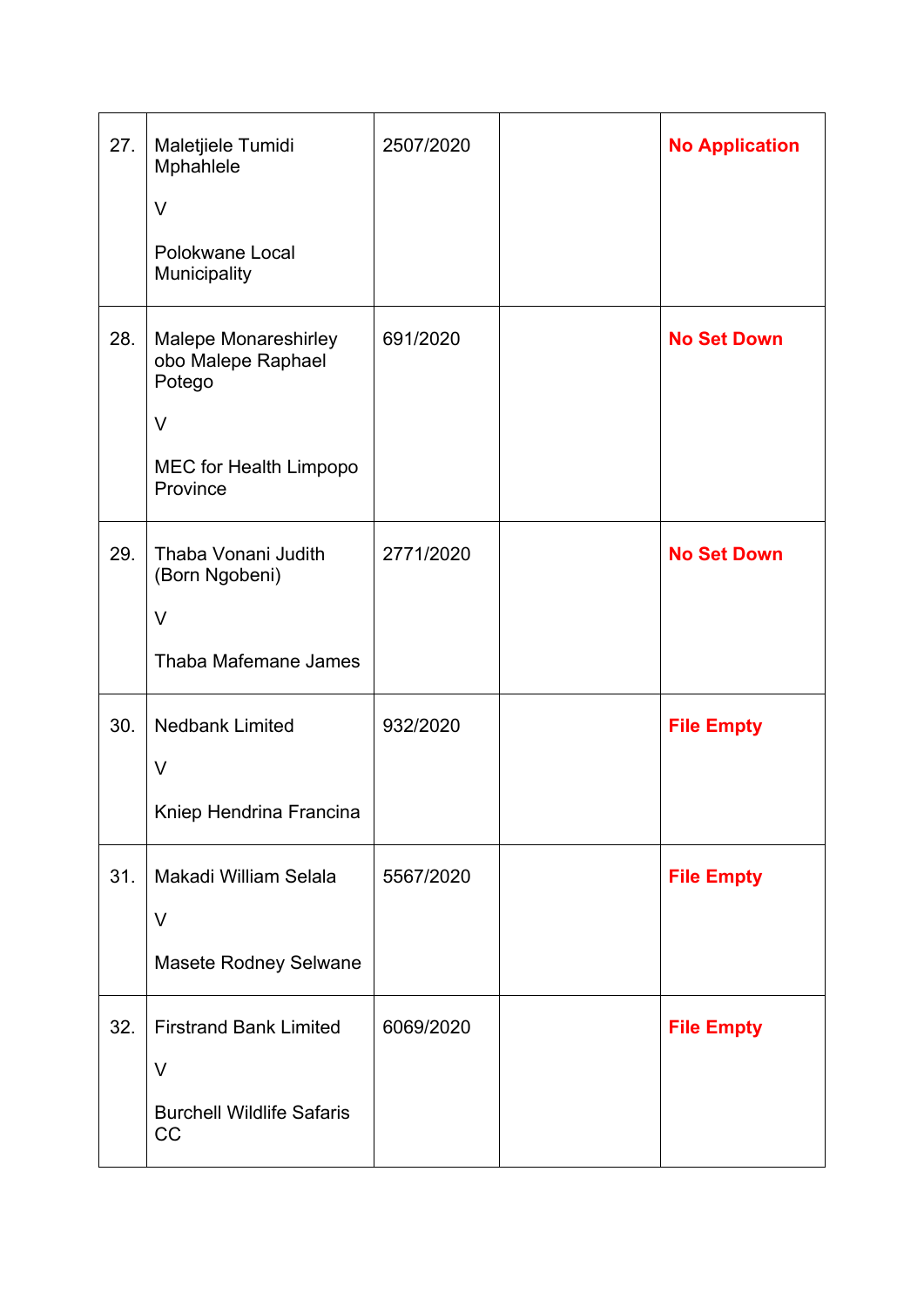| 27. | Maletjiele Tumidi<br>Mphahlele<br>V<br>Polokwane Local<br>Municipality                                 | 2507/2020 | <b>No Application</b> |
|-----|--------------------------------------------------------------------------------------------------------|-----------|-----------------------|
| 28. | <b>Malepe Monareshirley</b><br>obo Malepe Raphael<br>Potego<br>V<br>MEC for Health Limpopo<br>Province | 691/2020  | <b>No Set Down</b>    |
| 29. | Thaba Vonani Judith<br>(Born Ngobeni)<br>$\vee$<br>Thaba Mafemane James                                | 2771/2020 | <b>No Set Down</b>    |
| 30. | <b>Nedbank Limited</b><br>$\vee$<br>Kniep Hendrina Francina                                            | 932/2020  | <b>File Empty</b>     |
| 31. | Makadi William Selala<br>V<br>Masete Rodney Selwane                                                    | 5567/2020 | <b>File Empty</b>     |
| 32. | <b>Firstrand Bank Limited</b><br>V<br><b>Burchell Wildlife Safaris</b><br>CC                           | 6069/2020 | <b>File Empty</b>     |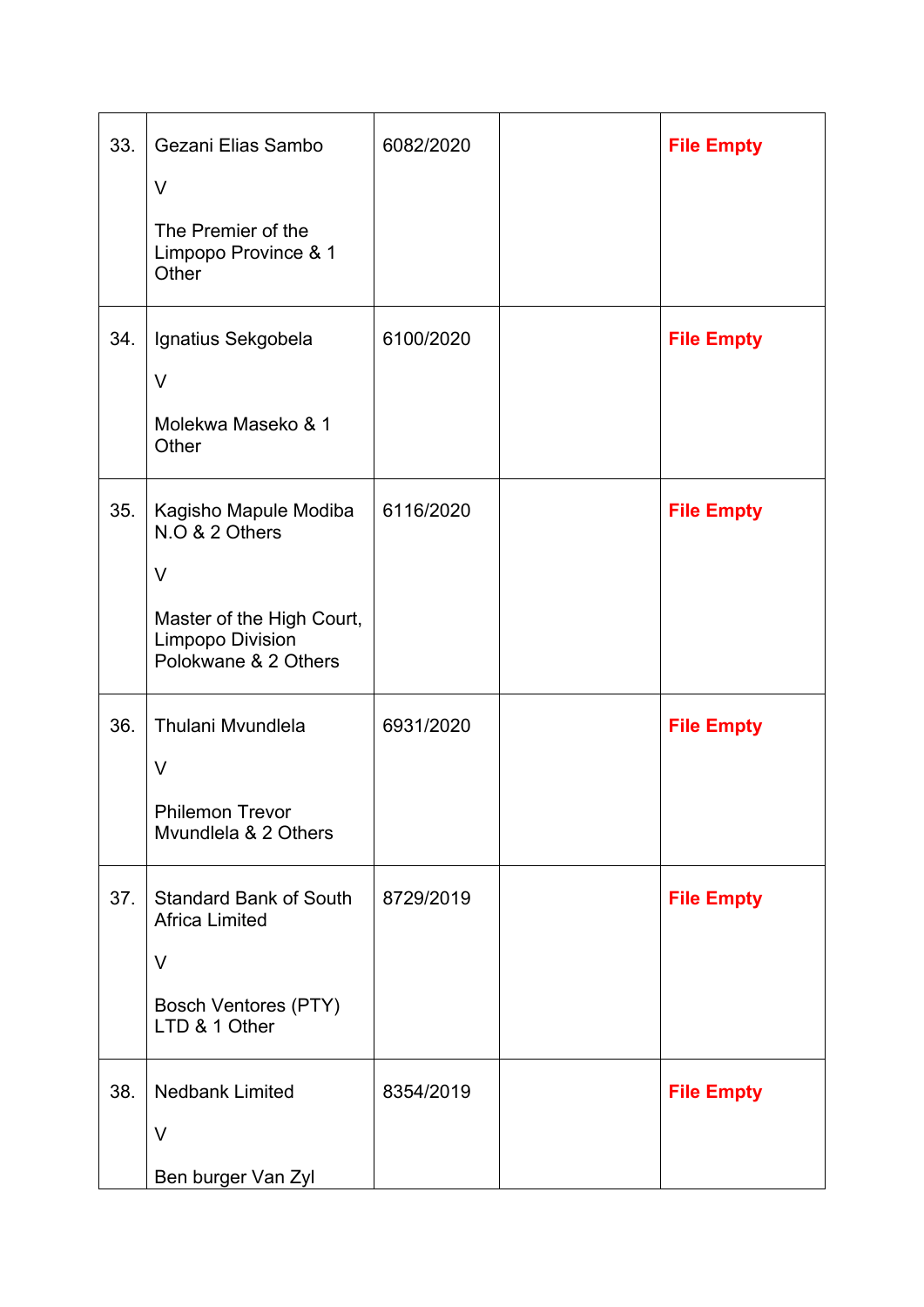| 33. | Gezani Elias Sambo<br>$\vee$<br>The Premier of the<br>Limpopo Province & 1 | 6082/2020 | <b>File Empty</b> |
|-----|----------------------------------------------------------------------------|-----------|-------------------|
|     | Other                                                                      |           |                   |
| 34. | Ignatius Sekgobela<br>$\vee$                                               | 6100/2020 | <b>File Empty</b> |
|     | Molekwa Maseko & 1<br>Other                                                |           |                   |
| 35. | Kagisho Mapule Modiba<br>N.O & 2 Others<br>V                               | 6116/2020 | <b>File Empty</b> |
|     | Master of the High Court,<br>Limpopo Division<br>Polokwane & 2 Others      |           |                   |
| 36. | Thulani Mvundlela<br>V                                                     | 6931/2020 | <b>File Empty</b> |
|     | <b>Philemon Trevor</b><br>Myundlela & 2 Others                             |           |                   |
| 37. | <b>Standard Bank of South</b><br><b>Africa Limited</b><br>V                | 8729/2019 | <b>File Empty</b> |
|     | <b>Bosch Ventores (PTY)</b><br>LTD & 1 Other                               |           |                   |
| 38. | <b>Nedbank Limited</b><br>V<br>Ben burger Van Zyl                          | 8354/2019 | <b>File Empty</b> |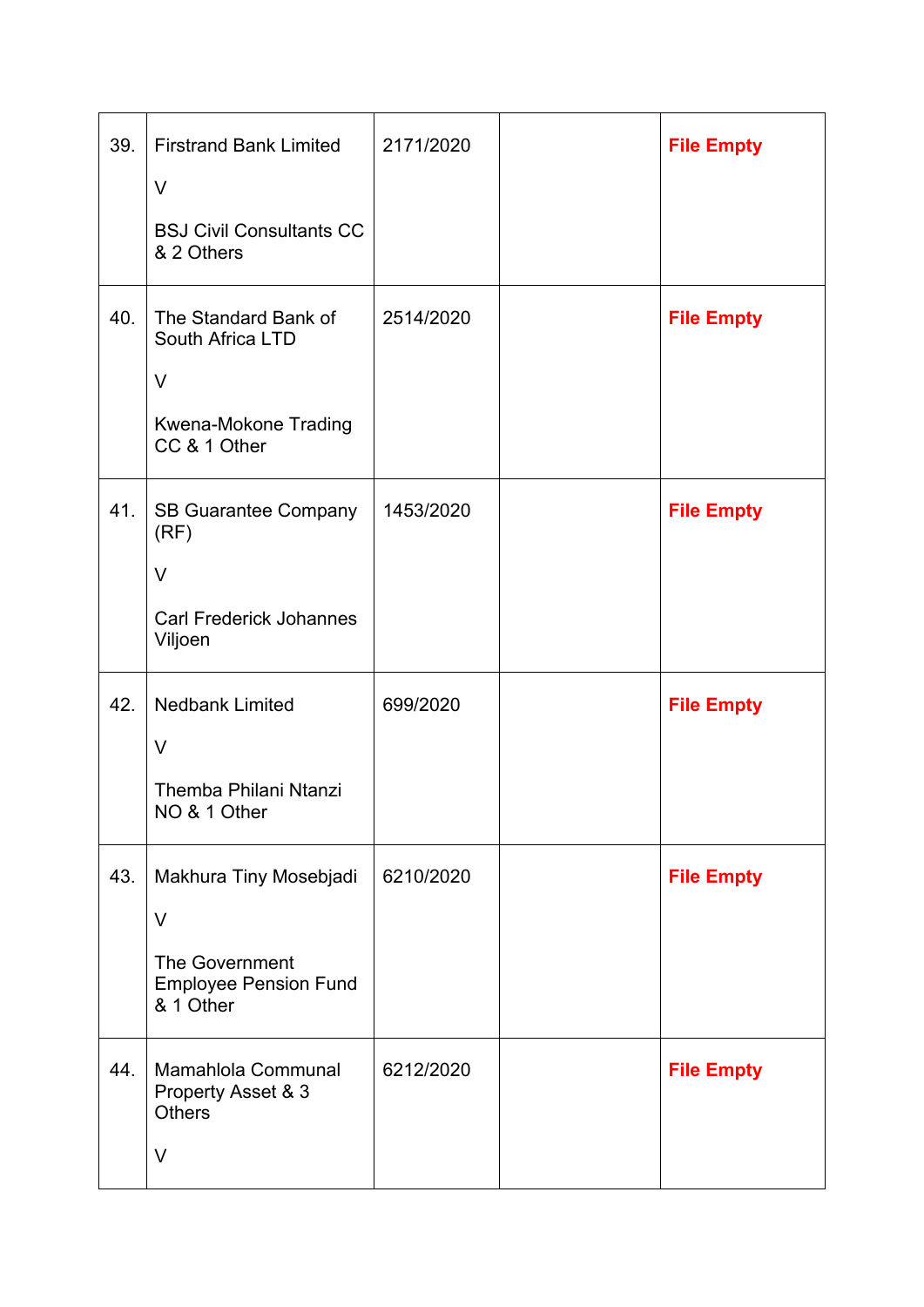| 39. | <b>Firstrand Bank Limited</b><br>V<br><b>BSJ Civil Consultants CC</b><br>& 2 Others                    | 2171/2020 | <b>File Empty</b> |
|-----|--------------------------------------------------------------------------------------------------------|-----------|-------------------|
| 40. | The Standard Bank of<br>South Africa LTD<br>V<br>Kwena-Mokone Trading<br>CC & 1 Other                  | 2514/2020 | <b>File Empty</b> |
| 41. | <b>SB Guarantee Company</b><br>(RF)<br>V<br><b>Carl Frederick Johannes</b><br>Viljoen                  | 1453/2020 | <b>File Empty</b> |
| 42. | <b>Nedbank Limited</b><br>$\vee$<br>Themba Philani Ntanzi<br>NO & 1 Other                              | 699/2020  | <b>File Empty</b> |
| 43. | Makhura Tiny Mosebjadi<br>$\vee$<br><b>The Government</b><br><b>Employee Pension Fund</b><br>& 1 Other | 6210/2020 | <b>File Empty</b> |
| 44. | Mamahlola Communal<br>Property Asset & 3<br><b>Others</b><br>$\vee$                                    | 6212/2020 | <b>File Empty</b> |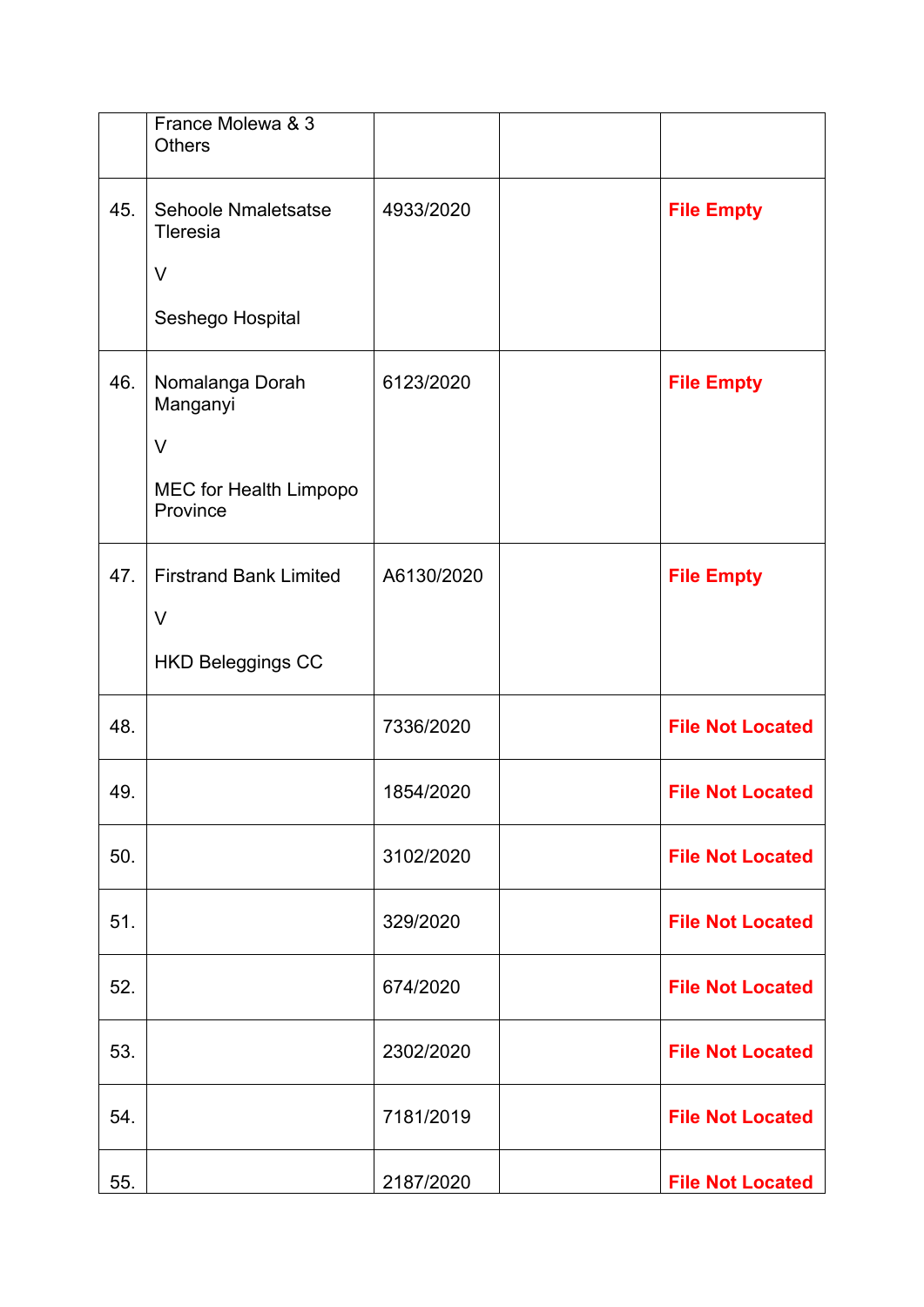|     | France Molewa & 3<br><b>Others</b> |            |                         |
|-----|------------------------------------|------------|-------------------------|
| 45. | Sehoole Nmaletsatse<br>Tleresia    | 4933/2020  | <b>File Empty</b>       |
|     | V                                  |            |                         |
|     | Seshego Hospital                   |            |                         |
| 46. | Nomalanga Dorah<br>Manganyi        | 6123/2020  | <b>File Empty</b>       |
|     | V                                  |            |                         |
|     | MEC for Health Limpopo<br>Province |            |                         |
| 47. | <b>Firstrand Bank Limited</b>      | A6130/2020 | <b>File Empty</b>       |
|     | V                                  |            |                         |
|     | <b>HKD Beleggings CC</b>           |            |                         |
| 48. |                                    | 7336/2020  | <b>File Not Located</b> |
| 49. |                                    | 1854/2020  | <b>File Not Located</b> |
| 50. |                                    | 3102/2020  | <b>File Not Located</b> |
| 51. |                                    | 329/2020   | <b>File Not Located</b> |
| 52. |                                    | 674/2020   | <b>File Not Located</b> |
| 53. |                                    | 2302/2020  | <b>File Not Located</b> |
| 54. |                                    | 7181/2019  | <b>File Not Located</b> |
| 55. |                                    | 2187/2020  | <b>File Not Located</b> |